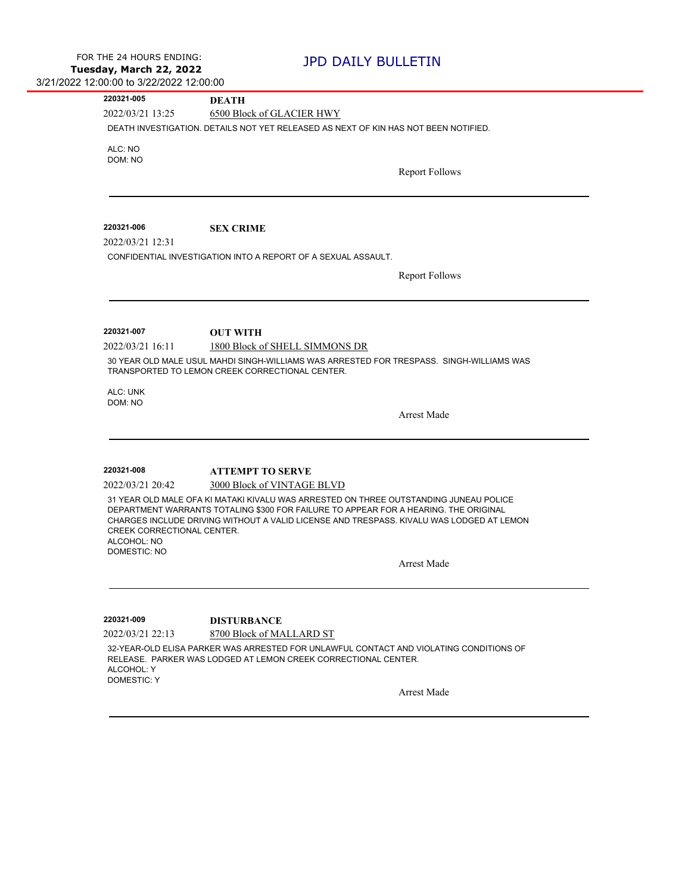| 220321-005                       | DEATH                                                                                                                                                    |
|----------------------------------|----------------------------------------------------------------------------------------------------------------------------------------------------------|
| 2022/03/21 13:25                 | 6500 Block of GLACIER HWY                                                                                                                                |
|                                  | DEATH INVESTIGATION. DETAILS NOT YET RELEASED AS NEXT OF KIN HAS NOT BEEN NOTIFIED.                                                                      |
| ALC: NO                          |                                                                                                                                                          |
| DOM: NO                          |                                                                                                                                                          |
|                                  | <b>Report Follows</b>                                                                                                                                    |
|                                  |                                                                                                                                                          |
| 220321-006                       | <b>SEX CRIME</b>                                                                                                                                         |
| 2022/03/21 12:31                 |                                                                                                                                                          |
|                                  | CONFIDENTIAL INVESTIGATION INTO A REPORT OF A SEXUAL ASSAULT.                                                                                            |
|                                  | <b>Report Follows</b>                                                                                                                                    |
|                                  |                                                                                                                                                          |
|                                  |                                                                                                                                                          |
|                                  |                                                                                                                                                          |
| 220321-007                       | <b>OUT WITH</b>                                                                                                                                          |
| 2022/03/21 16:11                 | 1800 Block of SHELL SIMMONS DR                                                                                                                           |
|                                  | 30 YEAR OLD MALE USUL MAHDI SINGH-WILLIAMS WAS ARRESTED FOR TRESPASS. SINGH-WILLIAMS WAS<br>TRANSPORTED TO LEMON CREEK CORRECTIONAL CENTER.              |
|                                  |                                                                                                                                                          |
|                                  |                                                                                                                                                          |
| ALC: UNK<br>DOM: NO              |                                                                                                                                                          |
|                                  | <b>Arrest Made</b>                                                                                                                                       |
|                                  |                                                                                                                                                          |
|                                  |                                                                                                                                                          |
| 220321-008                       | <b>ATTEMPT TO SERVE</b>                                                                                                                                  |
| 2022/03/21 20:42                 | 3000 Block of VINTAGE BLVD                                                                                                                               |
|                                  | 31 YEAR OLD MALE OFA KI MATAKI KIVALU WAS ARRESTED ON THREE OUTSTANDING JUNEAU POLICE                                                                    |
|                                  | DEPARTMENT WARRANTS TOTALING \$300 FOR FAILURE TO APPEAR FOR A HEARING. THE ORIGINAL                                                                     |
| CREEK CORRECTIONAL CENTER.       | CHARGES INCLUDE DRIVING WITHOUT A VALID LICENSE AND TRESPASS. KIVALU WAS LODGED AT LEMON                                                                 |
| ALCOHOL: NO                      |                                                                                                                                                          |
| <b>DOMESTIC: NO</b>              |                                                                                                                                                          |
|                                  | <b>Arrest Made</b>                                                                                                                                       |
|                                  |                                                                                                                                                          |
|                                  |                                                                                                                                                          |
| 220321-009                       | <b>DISTURBANCE</b>                                                                                                                                       |
| 2022/03/21 22:13                 | 8700 Block of MALLARD ST                                                                                                                                 |
|                                  | 32-YEAR-OLD ELISA PARKER WAS ARRESTED FOR UNLAWFUL CONTACT AND VIOLATING CONDITIONS OF<br>RELEASE. PARKER WAS LODGED AT LEMON CREEK CORRECTIONAL CENTER. |
| ALCOHOL: Y<br><b>DOMESTIC: Y</b> |                                                                                                                                                          |